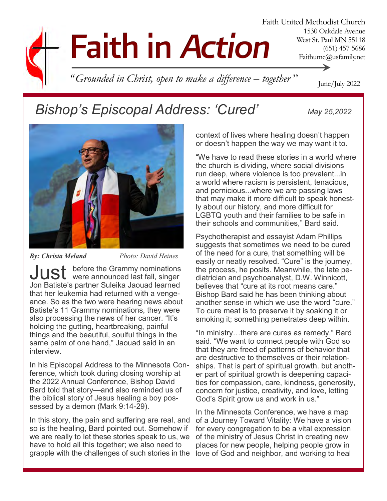# **Faith in Action**

Faith United Methodist Church 1530 Oakdale Avenue West St. Paul MN 55118 (651) 457-5686 Faithumc@usfamily.net

*" Grounded in Christ, open to make a difference – together* "

### *Bishop's Episcopal Address: 'Cured' May 25,2022*

June/July 2022



*By: Christa Meland Photo: David Heines*

Just before the Grammy nominations were announced last fall, singer Jon Batiste's partner Suleika Jaouad learned that her leukemia had returned with a vengeance. So as the two were hearing news about Batiste's 11 Grammy nominations, they were also processing the news of her cancer. "It's holding the gutting, heartbreaking, painful things and the beautiful, soulful things in the same palm of one hand," Jaouad said in an interview.

In his Episcopal Address to the Minnesota Conference, which took during closing worship at the 2022 Annual Conference, Bishop David Bard told that story—and also reminded us of the biblical story of Jesus healing a boy possessed by a demon (Mark 9:14-29).

In this story, the pain and suffering are real, and so is the healing, Bard pointed out. Somehow if we are really to let these stories speak to us, we have to hold all this together; we also need to grapple with the challenges of such stories in the

context of lives where healing doesn't happen or doesn't happen the way we may want it to.

"We have to read these stories in a world where the church is dividing, where social divisions run deep, where violence is too prevalent...in a world where racism is persistent, tenacious, and pernicious...where we are passing laws that may make it more difficult to speak honestly about our history, and more difficult for LGBTQ youth and their families to be safe in their schools and communities," Bard said.

Psychotherapist and essayist Adam Phillips suggests that sometimes we need to be cured of the need for a cure, that something will be easily or neatly resolved. "Cure" is the journey, the process, he posits. Meanwhile, the late pediatrician and psychoanalyst, D.W. Winnicott, believes that "cure at its root means care." Bishop Bard said he has been thinking about another sense in which we use the word "cure." To cure meat is to preserve it by soaking it or smoking it; something penetrates deep within.

"In ministry…there are cures as remedy," Bard said. "We want to connect people with God so that they are freed of patterns of behavior that are destructive to themselves or their relationships. That is part of spiritual growth. but another part of spiritual growth is deepening capacities for compassion, care, kindness, generosity, concern for justice, creativity, and love, letting God's Spirit grow us and work in us."

In the Minnesota Conference, we have a map of a Journey Toward Vitality: We have a vision for every congregation to be a vital expression of the ministry of Jesus Christ in creating new places for new people, helping people grow in love of God and neighbor, and working to heal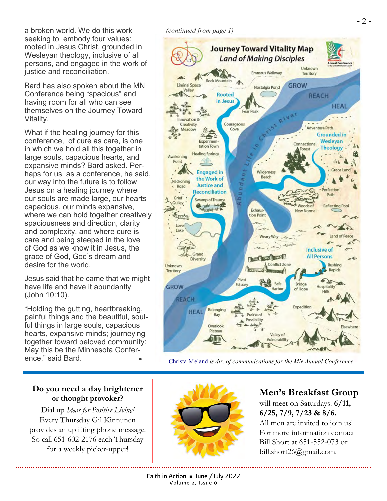a broken world. We do this work seeking to embody four values: rooted in Jesus Christ, grounded in Wesleyan theology, inclusive of all persons, and engaged in the work of justice and reconciliation.

Bard has also spoken about the MN Conference being "spacious" and having room for all who can see themselves on the Journey Toward Vitality.

What if the healing journey for this conference, of cure as care, is one in which we hold all this together in large souls, capacious hearts, and expansive minds? Bard asked. Perhaps for us as a conference, he said, our way into the future is to follow Jesus on a healing journey where our souls are made large, our hearts capacious, our minds expansive, where we can hold together creatively spaciousness and direction, clarity and complexity, and where cure is care and being steeped in the love of God as we know it in Jesus, the grace of God, God's dream and desire for the world.

Jesus said that he came that we might have life and have it abundantly (John 10:10).

"Holding the gutting, heartbreaking, painful things and the beautiful, soulful things in large souls, capacious hearts, expansive minds; journeying together toward beloved community: May this be the Minnesota Conference," said Bard.

*(continued from page 1)*



[Christa Meland](mailto:christa.meland@minnesotaumc.org) *is dir. of communications for the MN Annual Conference.*

#### **Do you need a day brightener or thought provoker?**

Dial up *Ideas for Positive Living!* Every Thursday Gil Kinnunen provides an uplifting phone message. So call 651-602-2176 each Thursday for a weekly picker-upper!



### **Men's Breakfast Group**

will meet on Saturdays: **6/11, 6/25, 7/9, 7/23 & 8/6.**  All men are invited to join us! For more information contact Bill Short at 651-552-073 or bill.short26@gmail.com.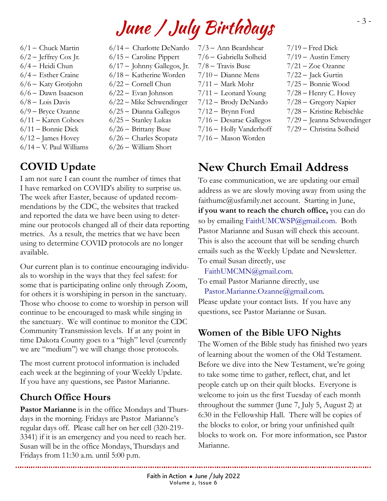# June / July Birthdays

- $6/1$  Chuck Martin  $6/2$  – Jeffrey Cox Jr. 6/4 – Heidi Chun 6/4 – Esther Craine 6/6 – Katy Grotjohn 6/6 – Dawn Isaacson
- $6/8 -$ Lois Davis
- 6/9 Bryce Ozanne
- 6/11 Karen Cohoes
- 6/11 Bonnie Dick
- $6/12$  James Hovey
- 6/14 V. Paul Williams

### **COVID Update**

I am not sure I can count the number of times that I have remarked on COVID's ability to surprise us. The week after Easter, because of updated recommendations by the CDC, the websites that tracked and reported the data we have been using to determine our protocols changed all of their data reporting metrics. As a result, the metrics that we have been using to determine COVID protocols are no longer available.

Our current plan is to continue encouraging individuals to worship in the ways that they feel safest: for some that is participating online only through Zoom, for others it is worshiping in person in the sanctuary. Those who choose to come to worship in person will continue to be encouraged to mask while singing in the sanctuary. We will continue to monitor the CDC Community Transmission levels. If at any point in time Dakota County goes to a "high" level (currently we are "medium") we will change those protocols.

The most current protocol information is included each week at the beginning of your Weekly Update. If you have any questions, see Pastor Marianne.

### **Church Office Hours**

**Pastor Marianne** is in the office Mondays and Thursdays in the morning. Fridays are Pastor Marianne's regular days off. Please call her on her cell (320-219- 3341) if it is an emergency and you need to reach her. Susan will be in the office Mondays, Thursdays and Fridays from 11:30 a.m. until 5:00 p.m.

6/14 – Charlotte DeNardo 6/15 – Caroline Pippert 6/17 – Johnny Gallegos, Jr. 6/18 – Katherine Worden 6/22 – Cornell Chun 6/22 – Evan Johnson 6/22 – Mike Schwendinger 6/25 – Dianna Gallegos 6/25 – Stanley Lukas 6/26 – Brittany Buse 6/26 – Charles Scopatz

- 6/26 William Short
- 7/3 Ann Beardshear 7/6 – Gabriella Solheid 7/8 – Travis Buse  $7/10 -$  Dianne Mens  $7/11$  – Mark Mohr 7/11 – Leonard Young 7/12 – Brody DeNardo 7/12 – Brynn Ford
- 7/16 Desarae Gallegos
- 7/16 Holly Vanderhoff
- 7/16 Mason Worden
- $7/19$  Fred Dick
- $7/19$  Austin Emery
- 7/21 Zoe Ozanne
- 7/22 Jack Gurtin
- 7/25 Bonnie Wood
- $7/28$  Henry C. Hovey
- 7/28 Gregory Napier
- 7/28 Kristine Rebischke
- 7/29 Jeanna Schwendinger
- 7/29 Christina Solheid

### **New Church Email Address**

To ease communication, we are updating our email address as we are slowly moving away from using the faithumc@usfamily.net account. Starting in June, **if you want to reach the church office,** you can do so by emailing [FaithUMCWSP@gmail.com.](mailto:FaithUMCWSP@gmail.com) Both Pastor Marianne and Susan will check this account. This is also the account that will be sending church emails such as the Weekly Update and Newsletter. To email Susan directly, use

[FaithUMCMN@gmail.com.](mailto:FaithUMCMN@gmail.com)

To email Pastor Marianne directly, use [Pastor.Marianne.Ozanne@gmail.com.](mailto:Pastor.Marianne.Ozanne@gmail.com)

Please update your contact lists. If you have any questions, see Pastor Marianne or Susan.

### **Women of the Bible UFO Nights**

The Women of the Bible study has finished two years of learning about the women of the Old Testament. Before we dive into the New Testament, we're going to take some time to gather, reflect, chat, and let people catch up on their quilt blocks. Everyone is welcome to join us the first Tuesday of each month throughout the summer (June 7, July 5, August 2) at 6:30 in the Fellowship Hall. There will be copies of the blocks to color, or bring your unfinished quilt blocks to work on. For more information, see Pastor Marianne.

- 3 -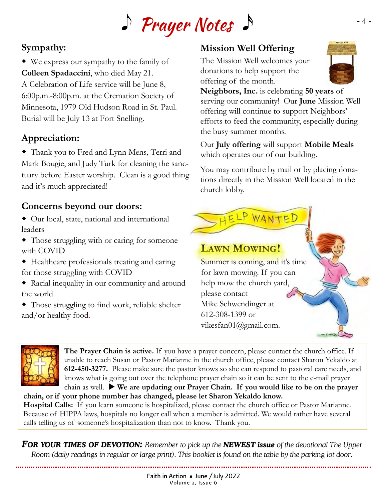

### **Sympathy:**

 We express our sympathy to the family of **Colleen Spadaccini**, who died May 21. A Celebration of Life service will be June 8, 6:00p.m.-8:00p.m. at the Cremation Society of Minnesota, 1979 Old Hudson Road in St. Paul. Burial will be July 13 at Fort Snelling.

### **Appreciation:**

 Thank you to Fred and Lynn Mens, Terri and Mark Bougie, and Judy Turk for cleaning the sanctuary before Easter worship. Clean is a good thing and it's much appreciated!

### **Concerns beyond our doors:**

- Our local, state, national and international leaders
- Those struggling with or caring for someone with COVID
- Healthcare professionals treating and caring for those struggling with COVID
- Racial inequality in our community and around the world
- Those struggling to find work, reliable shelter and/or healthy food.

### **Mission Well Offering**

The Mission Well welcomes your donations to help support the offering of the month.



**Neighbors, Inc.** is celebrating **50 years** of serving our community! Our **June** Mission Well offering will continue to support Neighbors' efforts to feed the community, especially during the busy summer months.

Our **July offering** will support **Mobile Meals**  which operates our of our building.

You may contribute by mail or by placing donations directly in the Mission Well located in the church lobby.

### **LAWN MOWING!**

Summer is coming, and it's time for lawn mowing. If you can help mow the church yard, please contact Mike Schwendinger at 612-308-1399 or vikesfan01@gmail.com.

HELP WANTED



**The Prayer Chain is active.** If you have a prayer concern, please contact the church office. If unable to reach Susan or Pastor Marianne in the church office, please contact Sharon Yekaldo at **612-450-3277.** Please make sure the pastor knows so she can respond to pastoral care needs, and knows what is going out over the telephone prayer chain so it can be sent to the e-mail prayer

chain as well. **We are updating our Prayer Chain. If you would like to be on the prayer chain, or if your phone number has changed, please let Sharon Yekaldo know.**

**Hospital Calls:** If you learn someone is hospitalized, please contact the church office or Pastor Marianne. Because of HIPPA laws, hospitals no longer call when a member is admitted. We would rather have several calls telling us of someone's hospitalization than not to know. Thank you.

*FOR YOUR TIMES OF DEVOTION: Remember to pick up the NEWEST issue of the devotional The Upper Room (daily readings in regular or large print). This booklet is found on the table by the parking lot door.*

- 4 -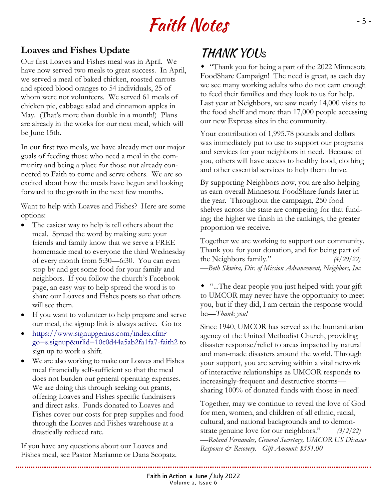# Faith Notes

### **Loaves and Fishes Update**

Our first Loaves and Fishes meal was in April. We have now served two meals to great success. In April, we served a meal of baked chicken, roasted carrots and spiced blood oranges to 54 individuals, 25 of whom were not volunteers. We served 61 meals of chicken pie, cabbage salad and cinnamon apples in May. (That's more than double in a month!) Plans are already in the works for our next meal, which will be June 15th.

In our first two meals, we have already met our major goals of feeding those who need a meal in the community and being a place for those not already connected to Faith to come and serve others. We are so excited about how the meals have begun and looking forward to the growth in the next few months.

Want to help with Loaves and Fishes? Here are some options:

- The easiest way to help is tell others about the meal. Spread the word by making sure your friends and family know that we serve a FREE homemade meal to everyone the third Wednesday of every month from 5:30—6:30. You can even stop by and get some food for your family and neighbors. If you follow the church's Facebook page, an easy way to help spread the word is to share our Loaves and Fishes posts so that others will see them.
- If you want to volunteer to help prepare and serve our meal, the signup link is always active. Go to:
- [https://www.signupgenius.com/index.cfm?](https://www.signupgenius.com/index.cfm?go=s.signup&urlid=10c0d44a5ab2fa1fa7-faith2) [go=s.signup&urlid=10c0d44a5ab2fa1fa7-faith2](https://www.signupgenius.com/index.cfm?go=s.signup&urlid=10c0d44a5ab2fa1fa7-faith2) to sign up to work a shift.
- We are also working to make our Loaves and Fishes meal financially self-sufficient so that the meal does not burden our general operating expenses. We are doing this through seeking out grants, offering Loaves and Fishes specific fundraisers and direct asks. Funds donated to Loaves and Fishes cover our costs for prep supplies and food through the Loaves and Fishes warehouse at a drastically reduced rate.

If you have any questions about our Loaves and Fishes meal, see Pastor Marianne or Dana Scopatz.

### **THANK YOUS**

 "Thank you for being a part of the 2022 Minnesota FoodShare Campaign! The need is great, as each day we see many working adults who do not earn enough to feed their families and they look to us for help. Last year at Neighbors, we saw nearly 14,000 visits to the food shelf and more than 17,000 people accessing our new Express sites in the community.

Your contribution of 1,995.78 pounds and dollars was immediately put to use to support our programs and services for your neighbors in need. Because of you, others will have access to healthy food, clothing and other essential services to help them thrive.

By supporting Neighbors now, you are also helping us earn overall Minnesota FoodShare funds later in the year. Throughout the campaign, 250 food shelves across the state are competing for that funding; the higher we finish in the rankings, the greater proportion we receive.

Together we are working to support our community. Thank you for your donation, and for being part of the Neighbors family." *(4/20/22)* —*Beth Skwira, Dir. of Mission Advancement, Neighbors, Inc.* 

 "...The dear people you just helped with your gift to UMCOR may never have the opportunity to meet you, but if they did, I am certain the response would be—*Thank you!*

Since 1940, UMCOR has served as the humanitarian agency of the United Methodist Church, providing disaster response/relief to areas impacted by natural and man-made disasters around the world. Through your support, you are serving within a vital network of interactive relationships as UMCOR responds to increasingly-frequent and destructive storms sharing 100% of donated funds with those in need!

Together, may we continue to reveal the love of God for men, women, and children of all ethnic, racial, cultural, and national backgrounds and to demonstrate genuine love for our neighbors." *(3/2/22)* —*Roland Fernandes, General Secretary, UMCOR US Disaster Response & Recovery. Gift Amount: \$551.00*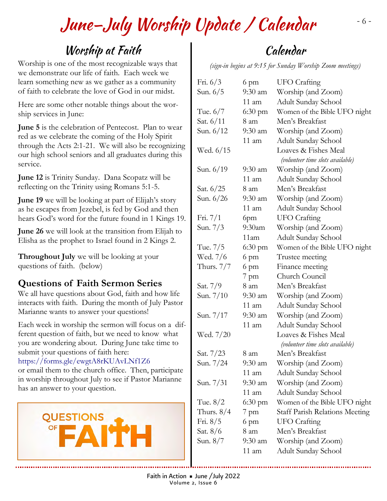# June–July Worship Update / Calendar

## Worship at Faith

Worship is one of the most recognizable ways that we demonstrate our life of faith. Each week we learn something new as we gather as a community of faith to celebrate the love of God in our midst.

Here are some other notable things about the worship services in June:

**June 5** is the celebration of Pentecost. Plan to wear red as we celebrate the coming of the Holy Spirit through the Acts 2:1-21. We will also be recognizing our high school seniors and all graduates during this service.

**June 12** is Trinity Sunday. Dana Scopatz will be reflecting on the Trinity using Romans 5:1-5.

**June 19** we will be looking at part of Elijah's story as he escapes from Jezebel, is fed by God and then hears God's word for the future found in 1 Kings 19.

**June 26** we will look at the transition from Elijah to Elisha as the prophet to Israel found in 2 Kings 2.

**Throughout July** we will be looking at your questions of faith. (below)

### **Questions of Faith Sermon Series**

We all have questions about God, faith and how life interacts with faith. During the month of July Pastor Marianne wants to answer your questions!

Each week in worship the sermon will focus on a different question of faith, but we need to know what you are wondering about. During June take time to submit your questions of faith here:

#### <https://forms.gle/ewgtA8rKUAvLNf1Z6>

or email them to the church office. Then, participate in worship throughout July to see if Pastor Marianne has an answer to your question.



# Calendar

*(sign-in begins at 9:15 for Sunday Worship Zoom meetings)* 

| Fri. $6/3$<br>Sun. $6/5$ | 6 pm<br>$9:30$ am | UFO Crafting<br>Worship (and Zoom)    |
|--------------------------|-------------------|---------------------------------------|
|                          | 11 am             | Adult Sunday School                   |
| Tue. $6/7$               | $6:30 \text{ pm}$ | Women of the Bible UFO night          |
| Sat. 6/11                | 8 am              | Men's Breakfast                       |
| Sun. 6/12                | $9:30$ am         | Worship (and Zoom)                    |
|                          | $11$ am           | Adult Sunday School                   |
| Wed. 6/15                |                   | Loaves & Fishes Meal                  |
|                          |                   | (volunteer time slots available)      |
| Sun. 6/19                | $9:30$ am         | Worship (and Zoom)                    |
|                          | $11 \text{ am}$   | Adult Sunday School                   |
| Sat. 6/25                | 8 am              | Men's Breakfast                       |
| Sun. 6/26                | $9:30$ am         | Worship (and Zoom)                    |
|                          | $11 \text{ am}$   | Adult Sunday School                   |
| Fri. $7/1$               | 6pm               | <b>UFO</b> Crafting                   |
| Sun. 7/3                 | $9:30$ am         | Worship (and Zoom)                    |
|                          | 11am              | Adult Sunday School                   |
| Tue. 7/5                 | $6:30 \text{ pm}$ | Women of the Bible UFO night          |
| Wed. 7/6                 | 6 pm              | Trustee meeting                       |
| Thurs. 7/7               | 6 pm              | Finance meeting                       |
|                          | $7$ pm            | Church Council                        |
| Sat. 7/9                 | 8 am              | Men's Breakfast                       |
| Sun. 7/10                | $9:30$ am         | Worship (and Zoom)                    |
|                          | $11 \text{ am}$   | Adult Sunday School                   |
| Sun. 7/17                | $9:30$ am         | Worship (and Zoom)                    |
|                          | $11$ am           | Adult Sunday School                   |
| Wed. 7/20                |                   | Loaves & Fishes Meal                  |
|                          |                   | (volunteer time slots available)      |
| Sat. 7/23                | 8 am              | Men's Breakfast                       |
| Sun. 7/24                | 9:30 am           | Worship (and Zoom)                    |
|                          | $11 \text{ am}$   | Adult Sunday School                   |
| Sun. 7/31                | 9:30 am           | Worship (and Zoom)                    |
|                          | $11 \text{ am}$   | Adult Sunday School                   |
| Tue. $8/2$               | $6:30 \text{ pm}$ | Women of the Bible UFO night          |
| Thurs. $8/4$             | $7$ pm            | <b>Staff Parish Relations Meeting</b> |
| Fri. $8/5$               | 6 pm              | <b>UFO</b> Crafting                   |
| Sat. 8/6                 | 8 am              | Men's Breakfast                       |
| Sun. 8/7                 | 9:30 am           | Worship (and Zoom)                    |
|                          | 11 am             | Adult Sunday School                   |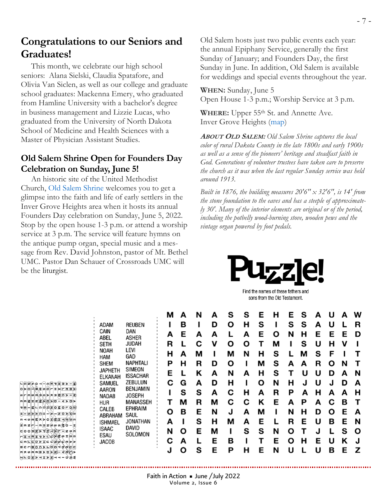### **Congratulations to our Seniors and Graduates!**

 This month, we celebrate our high school seniors: Alana Sielski, Claudia Spatafore, and Olivia Van Siclen, as well as our college and graduate school graduates: Mackenna Emery, who graduated from Hamline University with a bachelor's degree in business management and Lizzie Lucas, who graduated from the University of North Dakota School of Medicine and Health Sciences with a Master of Physician Assistant Studies.

#### **Old Salem Shrine Open for Founders Day Celebration on Sunday, June 5!**

 An historic site of the United Methodist Church, [Old Salem Shrine](https://oldsalemshrine.org/) welcomes you to get a glimpse into the faith and life of early settlers in the Inver Grove Heights area when it hosts its annual Founders Day celebration on Sunday, June 5, 2022. Stop by the open house 1-3 p.m. or attend a worship service at 3 p.m. The service will feature hymns on the antique pump organ, special music and a message from Rev. David Johnston, pastor of Mt. Bethel UMC. Pastor Dan Schauer of Crossroads UMC will be the liturgist.

Old Salem hosts just two public events each year: the annual Epiphany Service, generally the first Sunday of January; and Founders Day, the first Sunday in June. In addition, Old Salem is available for weddings and special events throughout the year.

**WHEN:** Sunday, June 5 Open House 1-3 p.m.; Worship Service at 3 p.m.

**WHERE:** Upper 55th St. and Annette Ave. Inver Grove Heights [\(map\)](https://goo.gl/maps/ft5WtMFLdVLk7tsr5)

**<sup>A</sup>BOUT <sup>O</sup>LD <sup>S</sup>ALEM:** *Old Salem Shrine captures the local color of rural Dakota County in the late 1800s and early 1900s as well as a sense of the pioneers' heritage and steadfast faith in God. Generations of volunteer trustees have taken care to preserve the church as it was when the last regular Sunday service was held around 1913.*

*Built in 1876, the building measures 20'6'' x 32'6'', is 14' from the stone foundation to the eaves and has a steeple of approximately 30'. Many of the interior elements are original or of the period, including the potbelly wood-burning stove, wooden pews and the vintage organ powered by foot pedals.*



Find the names of these fathers and sons from the Old Testament.

| <b>REUBEN</b><br>adam<br>CAIN<br>DAN<br>ASHER<br>ABEL<br>JUDAH<br>SETH<br>LEVI<br>NOAH<br>GAD<br>HAM<br><b>SHEM</b> | NAPHTALI<br>SIMEON        | М<br>А<br>R<br>н<br>Р | А<br>в<br>Е<br>А<br>н | N<br>А<br>С<br>М<br>R | А<br>D<br>А<br>ν<br>D | s<br>Ω<br>О<br>М<br>О | s<br>н<br>А<br>О<br>N | Е<br>s<br>Е<br>н<br>М | н<br>О<br>м<br>s<br>s | Е<br>s<br>N<br>А | s<br>s<br>н<br>s<br>м<br>А | А<br>A<br>F<br>U<br>s<br>R | U<br>U<br>Е<br>н<br>F<br>O | А<br>Е<br>ν<br>N | W<br>R<br>D |   |
|---------------------------------------------------------------------------------------------------------------------|---------------------------|-----------------------|-----------------------|-----------------------|-----------------------|-----------------------|-----------------------|-----------------------|-----------------------|------------------|----------------------------|----------------------------|----------------------------|------------------|-------------|---|
|                                                                                                                     | <b>JAPHETH</b><br>ELKANAH | <b>ISSACHAR</b>       | Е                     |                       | κ                     | A                     | N                     | А                     | н                     | s                |                            | U                          | U                          | D                | A           | N |
|                                                                                                                     | SAMUEL                    | ZEBULUN<br>BENJAMIN   | С                     | G                     | A                     | D                     | н                     |                       | Ο                     | N                | н                          | J                          | U                          | J                | D           | А |
|                                                                                                                     | AARON<br>NADAB            | <b>JOSEPH</b>         |                       | s                     | S                     | А                     | c                     | н                     | А                     | R                | Р                          | А                          | н                          | А                | А           | н |
|                                                                                                                     | <b>HUR</b>                | MANASSEH              |                       | м                     | R                     | м                     | С                     | С                     | κ                     | E                | А                          | Р                          | А                          | С                | в           |   |
|                                                                                                                     | CALEB<br>ABRAHAM          | EPHRAIM<br>Saul       | О                     | в                     | Е                     | N                     | J                     | A                     | м                     |                  | N                          | н                          | D                          | Ω                | Е           | А |
|                                                                                                                     | <b>ISHMAEL</b>            | JONATHAN              | А                     |                       | s                     | н                     | м                     | A                     | Е                     |                  | R                          | Е                          | U                          | в                | Е           | N |
|                                                                                                                     | <b>ISAAC</b><br>ESAU      | DAVID<br>SOLOMON      | N                     | О                     | Е                     | М                     |                       | s                     | s                     | N                | O                          |                            |                            |                  | s           | Ο |
|                                                                                                                     | JACOB                     |                       | С                     | А                     |                       | E                     | в                     |                       |                       | E                | ο                          | н                          | F                          | U                | Κ           |   |
|                                                                                                                     |                           |                       | J                     | O                     | s                     | Е                     | Р                     | н                     | Е                     | N                | U                          |                            | U                          | в                | Е           | z |

 $\circ$   $\vdash$   $\vdash$   $\circ$   $\circ$   $\star$   $\circ$   $\star$   $\vdash$   $\times$   $\circ$   $\circ$   $\vdash$   $\vdash$   $\circ$  $x = 0$ ╓⊣∞<mark>╓</mark>ड≍⊳०<del>Д≷⊆⊣∕╓</del>∕⊗╓  $\boxed{2}$ m z $\boxed{r}$  - m $\boxed{m}$ z $\cancel{\infty}$  w w $\cancel{\leq}$  6 - x  $\overline{\mathfrak{m}}\circ\mathfrak{m}$  and  $\overline{\mathfrak{m}}\circ\overline{\mathfrak{m}}$  and  $\overline{\mathfrak{m}}\circ\overline{\mathfrak{m}}$  and  $\overline{\mathfrak{m}}\circ\overline{\mathfrak{m}}$ <u> トエコロエクマクダ</u>タッエー  $C \wedge \mathbb{C}$  $\boxed{a} = \boxed{a} \boxed{a} \boxed{a} \boxed{b} \boxed{b} \boxed{c}$  $\mathsf{N} \subseteq \mathsf{O} \mathsf{Z} \mathsf{P} \mathsf{I} \mathsf{I} \mathsf{I} \mathsf{P} \mathsf{I} \mathsf{I} \mathsf{I} \mathsf{I} \mathsf{I} \mathsf{I} \mathsf{I} \mathsf{I} \mathsf{I} \mathsf{I} \mathsf{I}$